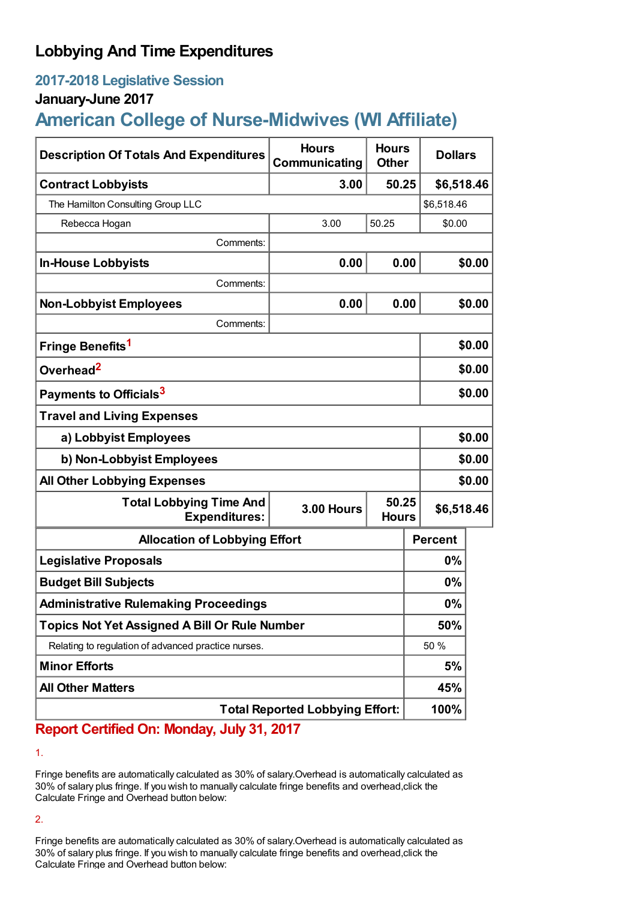## **Lobbying And Time Expenditures**

## **2017-2018 Legislative Session**

### **January-June 2017**

# **American College of Nurse-Midwives (WI Affiliate)**

| <b>Description Of Totals And Expenditures</b>          | <b>Hours</b><br>Communicating | <b>Hours</b><br><b>Other</b> | <b>Dollars</b> |        |  |
|--------------------------------------------------------|-------------------------------|------------------------------|----------------|--------|--|
| <b>Contract Lobbyists</b>                              | 3.00                          | 50.25                        | \$6,518.46     |        |  |
| The Hamilton Consulting Group LLC                      |                               |                              | \$6,518.46     |        |  |
| Rebecca Hogan                                          | 3.00                          | 50.25                        | \$0.00         |        |  |
| Comments:                                              |                               |                              |                |        |  |
| <b>In-House Lobbyists</b>                              | 0.00                          | 0.00                         |                | \$0.00 |  |
| Comments:                                              |                               |                              |                |        |  |
| <b>Non-Lobbyist Employees</b>                          | 0.00                          | 0.00                         |                | \$0.00 |  |
| Comments:                                              |                               |                              |                |        |  |
| Fringe Benefits <sup>1</sup>                           |                               |                              |                | \$0.00 |  |
| Overhead <sup>2</sup>                                  |                               |                              |                | \$0.00 |  |
| Payments to Officials <sup>3</sup>                     |                               |                              |                | \$0.00 |  |
| <b>Travel and Living Expenses</b>                      |                               |                              |                |        |  |
| a) Lobbyist Employees                                  |                               |                              |                | \$0.00 |  |
| b) Non-Lobbyist Employees                              |                               |                              |                | \$0.00 |  |
| <b>All Other Lobbying Expenses</b>                     |                               |                              |                | \$0.00 |  |
| <b>Total Lobbying Time And</b><br><b>Expenditures:</b> | <b>3.00 Hours</b>             | 50.25<br><b>Hours</b>        | \$6,518.46     |        |  |
| <b>Allocation of Lobbying Effort</b>                   |                               |                              | <b>Percent</b> |        |  |
| <b>Legislative Proposals</b>                           |                               |                              | $0\%$          |        |  |
| <b>Budget Bill Subjects</b>                            |                               |                              | $0\%$          |        |  |
| <b>Administrative Rulemaking Proceedings</b>           |                               |                              | 0%             |        |  |
| <b>Topics Not Yet Assigned A Bill Or Rule Number</b>   |                               |                              | 50%            |        |  |
| Relating to regulation of advanced practice nurses.    |                               |                              | 50 %           |        |  |
| <b>Minor Efforts</b>                                   |                               |                              | 5%             |        |  |
| <b>All Other Matters</b>                               |                               | 45%                          |                |        |  |
| <b>Total Reported Lobbying Effort:</b>                 |                               |                              | 100%           |        |  |

**Report Certified On: Monday, July 31, 2017**

1.

Fringe benefits are automatically calculated as 30% of salary.Overhead is automatically calculated as 30% of salary plus fringe. If you wish to manually calculate fringe benefits and overhead,click the Calculate Fringe and Overhead button below:

2.

Fringe benefits are automatically calculated as 30% of salary.Overhead is automatically calculated as 30% of salary plus fringe. If you wish to manually calculate fringe benefits and overhead,click the Calculate Fringe and Overhead button below: